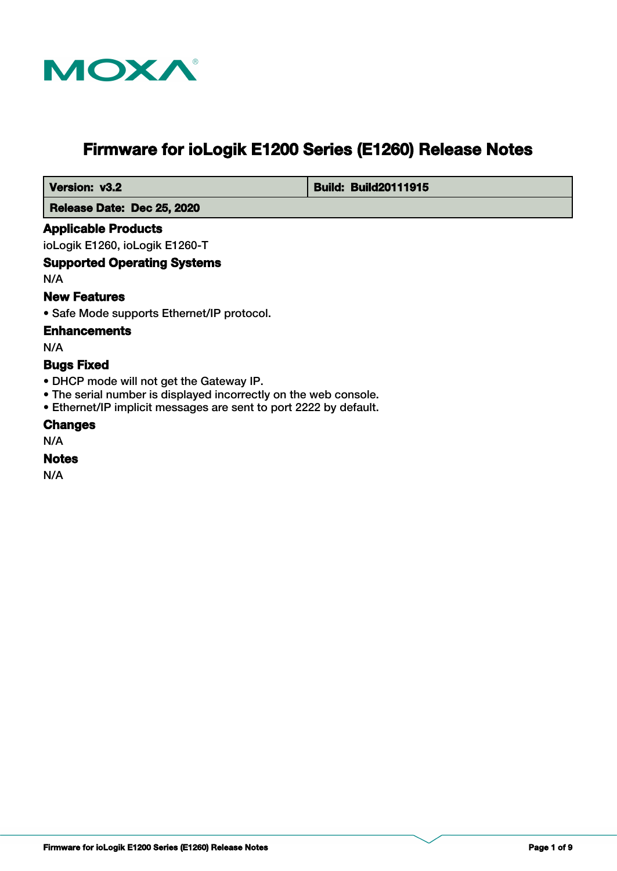

# **Firmware for ioLogik E1200 Series (E1260) Release Notes**

 **Version: v3.2 Build: Build: Build20111915** 

 **Release Date: Dec 25, 2020**

## **Applicable Products**

ioLogik E1260, ioLogik E1260-T

## **Supported Operating Systems**

N/A

## **New Features**

• Safe Mode supports Ethernet/IP protocol.

## **Enhancements**

N/A

## **Bugs Fixed**

- DHCP mode will not get the Gateway IP.
- The serial number is displayed incorrectly on the web console.
- Ethernet/IP implicit messages are sent to port 2222 by default.

#### **Changes**

N/A

## **Notes**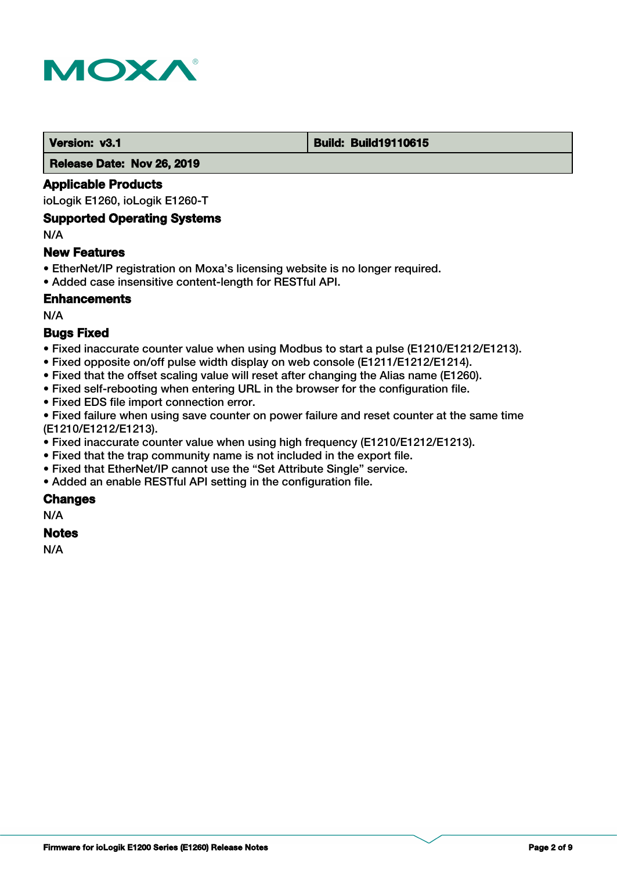

#### **Version: v3.1 Build: Build: Build19110615**

 **Release Date: Nov 26, 2019**

### **Applicable Products**

ioLogik E1260, ioLogik E1260-T

#### **Supported Operating Systems**

N/A

#### **New Features**

- EtherNet/IP registration on Moxa's licensing website is no longer required.
- Added case insensitive content-length for RESTful API.

## **Enhancements**

N/A

## **Bugs Fixed**

- Fixed inaccurate counter value when using Modbus to start a pulse (E1210/E1212/E1213).
- Fixed opposite on/off pulse width display on web console (E1211/E1212/E1214).
- Fixed that the offset scaling value will reset after changing the Alias name (E1260).
- Fixed self-rebooting when entering URL in the browser for the configuration file.
- Fixed EDS file import connection error.

• Fixed failure when using save counter on power failure and reset counter at the same time (E1210/E1212/E1213).

- Fixed inaccurate counter value when using high frequency (E1210/E1212/E1213).
- Fixed that the trap community name is not included in the export file.
- Fixed that EtherNet/IP cannot use the "Set Attribute Single" service.
- Added an enable RESTful API setting in the configuration file.

## **Changes**

N/A

## **Notes**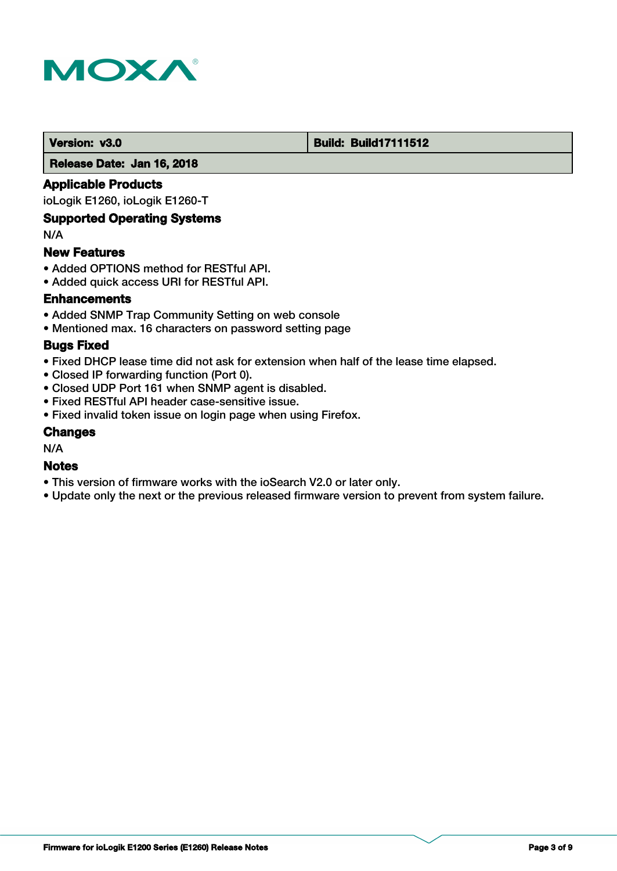

#### **Version: v3.0 Build: Build: Build17111512**

 **Release Date: Jan 16, 2018**

## **Applicable Products**

ioLogik E1260, ioLogik E1260-T

## **Supported Operating Systems**

N/A

#### **New Features**

- Added OPTIONS method for RESTful API.
- Added quick access URI for RESTful API.

## **Enhancements**

- Added SNMP Trap Community Setting on web console
- Mentioned max. 16 characters on password setting page

#### **Bugs Fixed**

- Fixed DHCP lease time did not ask for extension when half of the lease time elapsed.
- Closed IP forwarding function (Port 0).
- Closed UDP Port 161 when SNMP agent is disabled.
- Fixed RESTful API header case-sensitive issue.
- Fixed invalid token issue on login page when using Firefox.

#### **Changes**

N/A

## **Notes**

- This version of firmware works with the ioSearch V2.0 or later only.
- Update only the next or the previous released firmware version to prevent from system failure.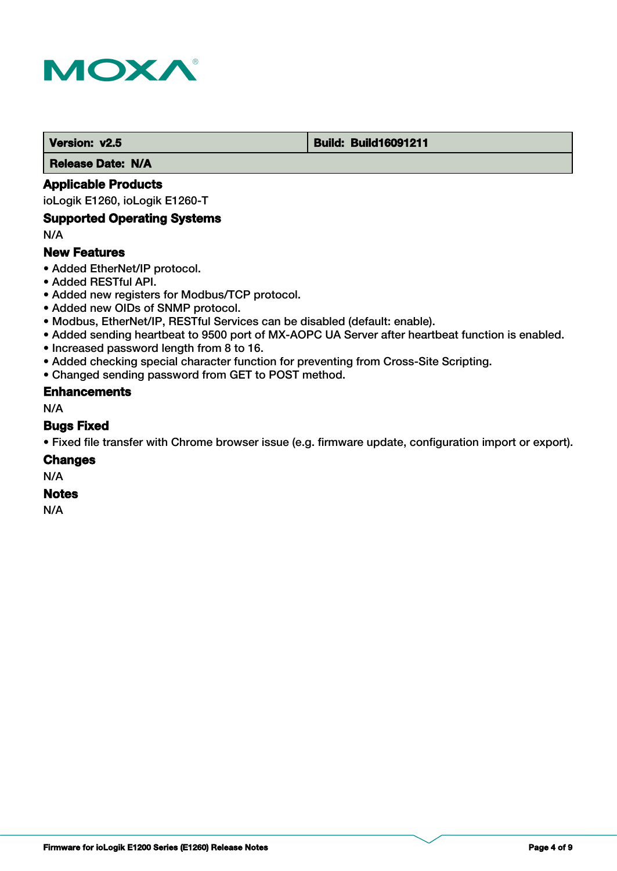

#### **Version: v2.5 Build: Build: Build16091211**

 **Release Date: N/A**

## **Applicable Products**

ioLogik E1260, ioLogik E1260-T

#### **Supported Operating Systems**

N/A

## **New Features**

- Added EtherNet/IP protocol.
- Added RESTful API.
- Added new registers for Modbus/TCP protocol.
- Added new OIDs of SNMP protocol.
- Modbus, EtherNet/IP, RESTful Services can be disabled (default: enable).
- Added sending heartbeat to 9500 port of MX-AOPC UA Server after heartbeat function is enabled.
- Increased password length from 8 to 16.
- Added checking special character function for preventing from Cross-Site Scripting.
- Changed sending password from GET to POST method.

#### **Enhancements**

N/A

#### **Bugs Fixed**

• Fixed file transfer with Chrome browser issue (e.g. firmware update, configuration import or export).

#### **Changes**

N/A

## **Notes**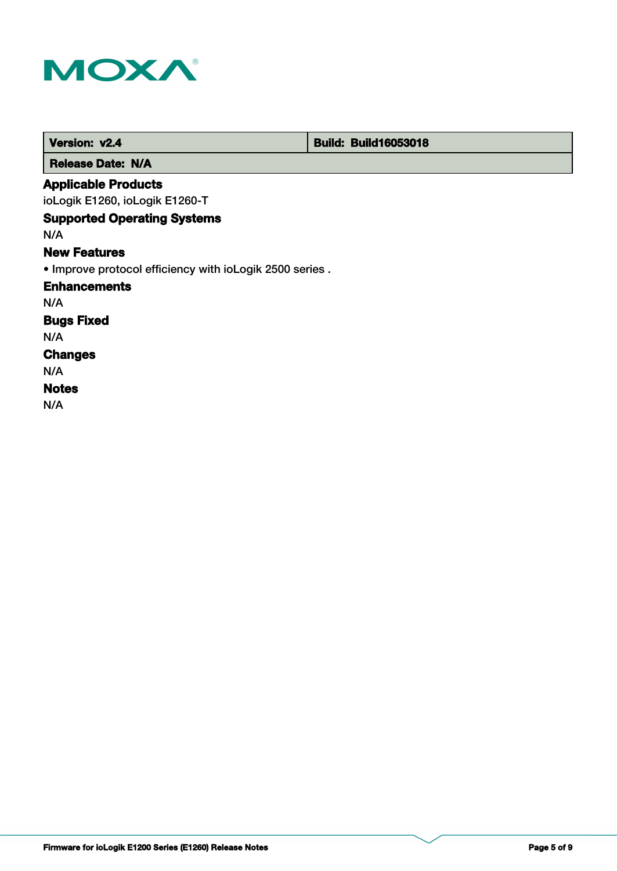

| Version: v2.4                                           | <b>Build: Build16053018</b> |  |
|---------------------------------------------------------|-----------------------------|--|
| <b>Release Date: N/A</b>                                |                             |  |
| <b>Applicable Products</b>                              |                             |  |
| ioLogik E1260, ioLogik E1260-T                          |                             |  |
| <b>Supported Operating Systems</b>                      |                             |  |
| N/A                                                     |                             |  |
| <b>New Features</b>                                     |                             |  |
| • Improve protocol efficiency with ioLogik 2500 series. |                             |  |
| <b>Enhancements</b>                                     |                             |  |
| N/A                                                     |                             |  |
| <b>Bugs Fixed</b>                                       |                             |  |
| N/A                                                     |                             |  |
| <b>Changes</b>                                          |                             |  |
| N/A                                                     |                             |  |
| <b>Notes</b>                                            |                             |  |
| N/A                                                     |                             |  |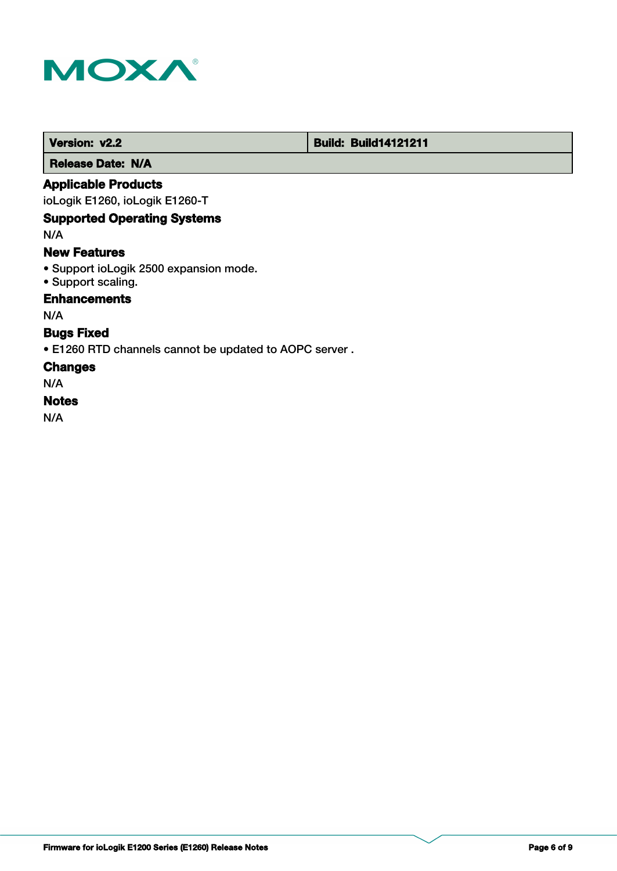

 **Version: v2.2 Build: Build: Build14121211** 

 **Release Date: N/A**

## **Applicable Products**

ioLogik E1260, ioLogik E1260-T

## **Supported Operating Systems**

N/A

## **New Features**

- Support ioLogik 2500 expansion mode.
- Support scaling.

## **Enhancements**

N/A

## **Bugs Fixed**

• E1260 RTD channels cannot be updated to AOPC server .

#### **Changes**

N/A

## **Notes**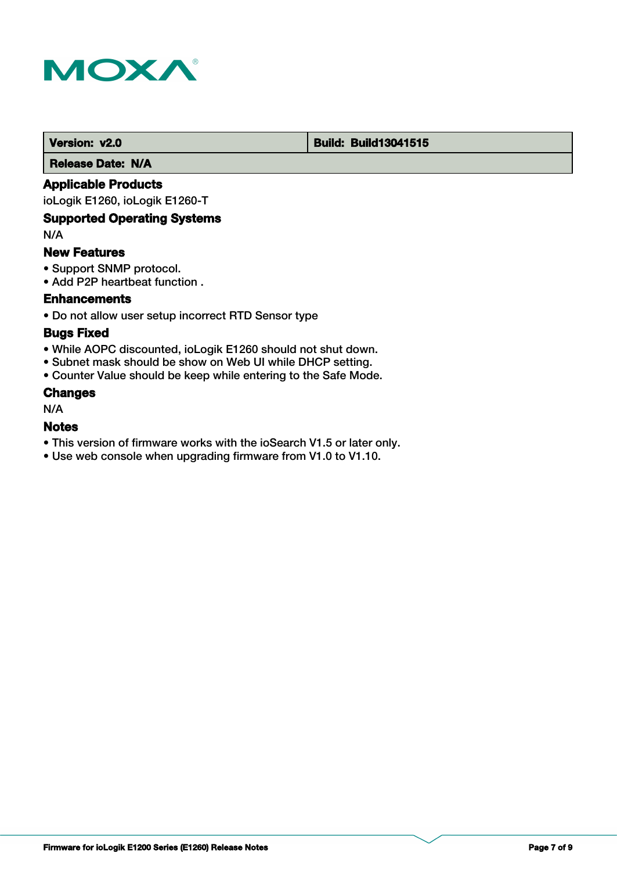

#### **Version: v2.0 Build: Build: Build13041515**

 **Release Date: N/A**

## **Applicable Products**

ioLogik E1260, ioLogik E1260-T

## **Supported Operating Systems**

N/A

#### **New Features**

- Support SNMP protocol.
- Add P2P heartbeat function .

## **Enhancements**

• Do not allow user setup incorrect RTD Sensor type

## **Bugs Fixed**

- While AOPC discounted, ioLogik E1260 should not shut down.
- Subnet mask should be show on Web UI while DHCP setting.
- Counter Value should be keep while entering to the Safe Mode.

#### **Changes**

N/A

## **Notes**

- This version of firmware works with the ioSearch V1.5 or later only.
- Use web console when upgrading firmware from V1.0 to V1.10.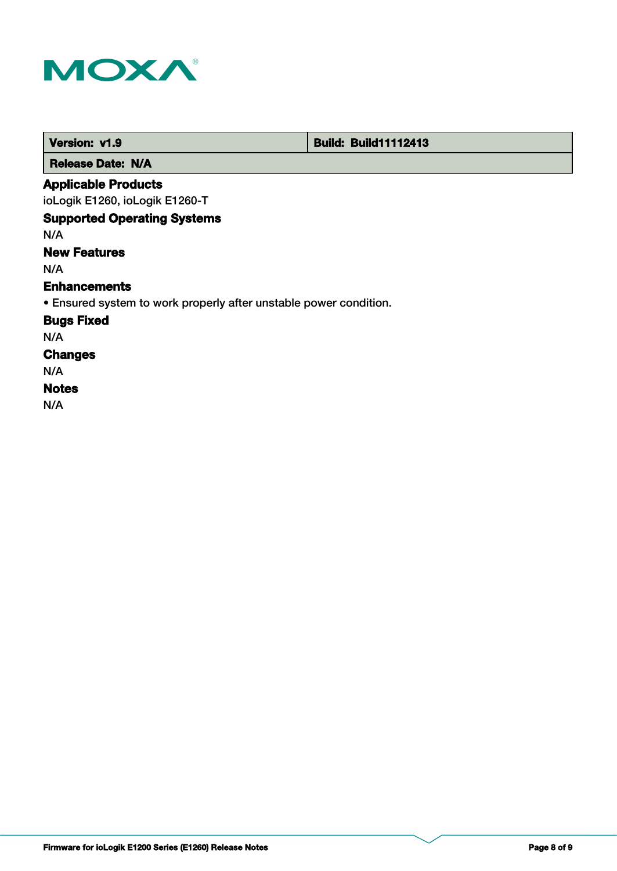

п

| Version: v1.9                                                     | <b>Build: Build11112413</b> |
|-------------------------------------------------------------------|-----------------------------|
| <b>Release Date: N/A</b>                                          |                             |
| <b>Applicable Products</b>                                        |                             |
| ioLogik E1260, ioLogik E1260-T                                    |                             |
| <b>Supported Operating Systems</b>                                |                             |
| N/A                                                               |                             |
| <b>New Features</b>                                               |                             |
| N/A                                                               |                             |
| <b>Enhancements</b>                                               |                             |
| • Ensured system to work properly after unstable power condition. |                             |
| <b>Bugs Fixed</b>                                                 |                             |
| N/A                                                               |                             |
| <b>Changes</b>                                                    |                             |
| N/A                                                               |                             |
| <b>Notes</b>                                                      |                             |
| N/A                                                               |                             |

т